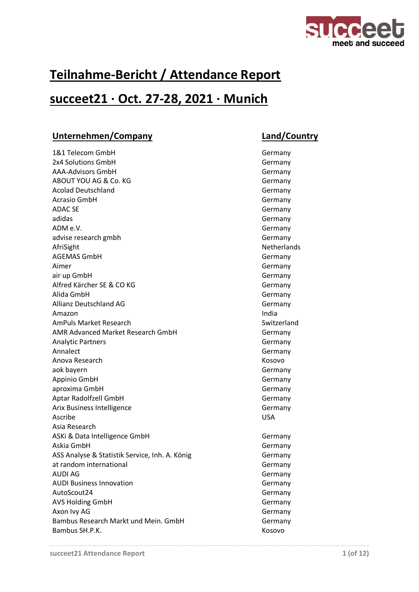

# **Teilnahme-Bericht / Attendance Report**

## **succeet21 · Oct. 27-28, 2021 · Munich**

### **Unternehmen/Company Land/Country**

1&1 Telecom GmbH Germany 2x4 Solutions GmbH Germany AAA-Advisors GmbH Germany ABOUT YOU AG & Co. KG Germany Acolad Deutschland Germany Acrasio GmbH Germany ADAC SE Germany adidas Germany ADM e.V. advise research gmbh Germany AfriSight **Netherlands** AGEMAS GmbH Germany Aimer Germany air up GmbH Germany Alfred Kärcher SE & CO KG Germany Alida GmbH Germany Allianz Deutschland AG Germany Amazon and a state of the state of the state of the state of the state of the state of the state of the state o AmPuls Market Research Switzerland AMR Advanced Market Research GmbH Germany Analytic Partners **Germany** Annalect **Germany** Anova Research **Kosovo** aok bayern Germany Appinio GmbH Germany aproxima GmbH Germany Communication of the Communication of the Germany Germany Aptar Radolfzell GmbH Germany Arix Business Intelligence Germany Ascribe USA Asia Research ASKi & Data Intelligence GmbH Germany Askia GmbH Germany ASS Analyse & Statistik Service, Inh. A. König Germany at random international and the contract of the Germany AUDI AG Germany AUDI Business Innovation **Germany** AutoScout24 Germany AVS Holding GmbH Germany Axon Ivy AG Germany Bambus Research Markt und Mein. GmbH Germany Bambus SH.P.K. Kosovo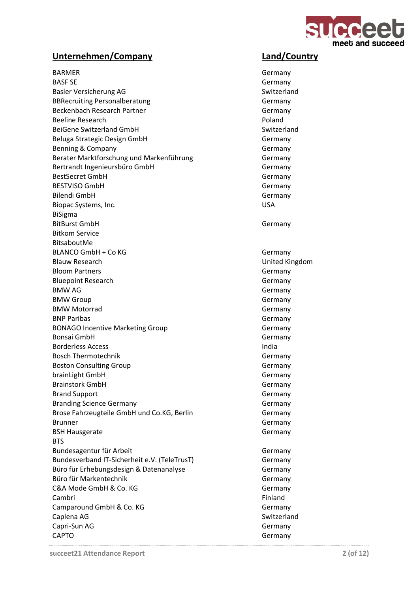

BARMER Germany BASF SE Germany Basler Versicherung AG and the Switzerland Switzerland BBRecruiting Personalberatung Germany Beckenbach Research Partner Germany Beeline Research **Poland Poland** BeiGene Switzerland GmbH Switzerland Beluga Strategic Design GmbH Germany Benning & Company Germany Germany Berater Marktforschung und Markenführung Germany Bertrandt Ingenieursbüro GmbH Germany BestSecret GmbH Germany BESTVISO GmbH Germany Bilendi GmbH Germany Biopac Systems, Inc. No. 1996. The USA USA CONSERVERT CONTROL CONTROL CONTROL CONTROL CONTROL CONTROL CONTROL CONTROL CONTROL CONTROL CONTROL CONTROL CONTROL CONTROL CONTROL CONTROL CONTROL CONTROL CONTROL CONTROL CONTROL BiSigma BitBurst GmbH Germany Bitkom Service BitsaboutMe BLANCO GmbH + Co KG Germany Blauw Research **Exercía Exercía Exercía Exercía Exercía Exercía Exercía Exercía Exercía Exercía Exercía Exercí** Bloom Partners **Germany** Bluepoint Research Germany BMW AG Germany Communication of the Communication of the Communication of the Germany Communication of the Communication of the Communication of the Communication of the Communication of the Communication of the Communicat BMW Group Germany BMW Motorrad Germany BNP Paribas Germany BONAGO Incentive Marketing Group Germany Bonsai GmbH Germany Borderless Access **India** Bosch Thermotechnik Germany Boston Consulting Group Germany brainLight GmbH Germany Brainstork GmbH Germany Brand Support Germany Branding Science Germany Germany Germany Brose Fahrzeugteile GmbH und Co.KG, Berlin Germany Brunner Germany BSH Hausgerate Germany **BTS** Bundesagentur für Arbeit Germany Bundesverband IT-Sicherheit e.V. (TeleTrusT) Germany Büro für Erhebungsdesign & Datenanalyse Germany Büro für Markentechnik Germany C&A Mode GmbH & Co. KG Germany Cambri Finland Camparound GmbH & Co. KG Germany Caplena AG Switzerland Capri-Sun AG Germany CAPTO Germany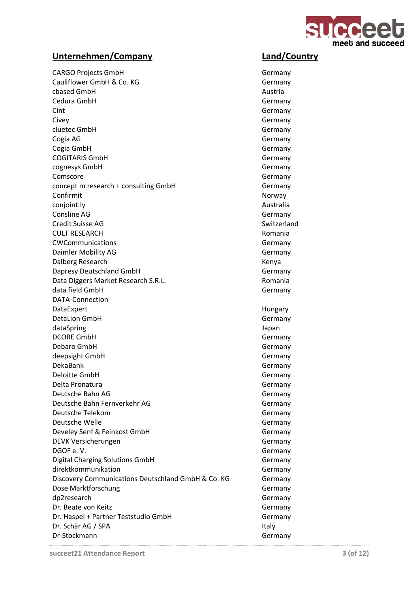

CARGO Projects GmbH Germany Cauliflower GmbH & Co. KG Germany cbased GmbH **Austria** Cedura GmbH Germany Cint Germany Civey Germany cluetec GmbH Germany Cogia AG Germany Cogia GmbH Germany COGITARIS GmbH Germany cognesys GmbH Germany Comscore Germany concept m research + consulting GmbH Germany Confirmit Norway Norway conjoint.ly **Australia** Consline AG Germany Credit Suisse AG Switzerland CULT RESEARCH **Romania** CWCommunications **Germany** Daimler Mobility AG Germany Dalberg Research **Kenya** Kenya Dapresy Deutschland GmbH Germany Data Diggers Market Research S.R.L. **Romania** data field GmbH Germany Communication of the Communication of the Germany Germany DATA-Connection DataExpert **Hungary** DataLion GmbH Germany dataSpring Japan DCORE GmbH Germany Debaro GmbH Germany deepsight GmbH Germany DekaBank Germany Deloitte GmbH Germany Delta Pronatura Germany Deutsche Bahn AG Germany Deutsche Bahn Fernverkehr AG Germany Deutsche Telekom Germany Deutsche Welle Germany Develey Senf & Feinkost GmbH Germany DEVK Versicherungen Germany DGOF e.V. Sermany Digital Charging Solutions GmbH Germany direktkommunikation Germany Discovery Communications Deutschland GmbH & Co. KG Germany Dose Marktforschung Germany dp2research Germany Dr. Beate von Keitz Germany Dr. Haspel + Partner Teststudio GmbH Germany Dr. Schär AG / SPA Italy Dr-Stockmann Germany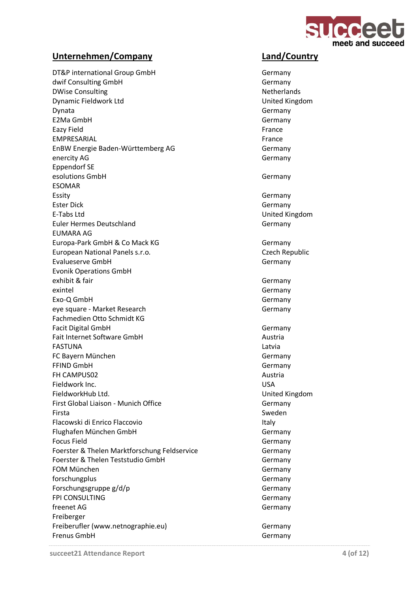

DT&P international Group GmbH Germany dwif Consulting GmbH Germany DWise Consulting Netherlands and the Netherlands Netherlands Dynamic Fieldwork Ltd United Kingdom Dynata Germany E2Ma GmbH Germany Eazy Field France EMPRESARIAL France EnBW Energie Baden-Württemberg AG Germany enercity AG Germany Eppendorf SE esolutions GmbH Germany ESOMAR Essity **Germany** Ester Dick Germany E-Tabs Ltd United Kingdom Euler Hermes Deutschland Germany EUMARA AG Europa-Park GmbH & Co Mack KG Germany European National Panels s.r.o. Czech Republic Evalueserve GmbH Germany Evonik Operations GmbH exhibit & fair Germany exintel Germany Communication of the Communication of the Communication of the Germany Germany Exo-Q GmbH Germany eye square - Market Research Germany Fachmedien Otto Schmidt KG Facit Digital GmbH Germany Fait Internet Software GmbH and The Austria FASTUNA Latvia FC Bayern München Germany FFIND GmbH Germany FH CAMPUS02 **Austria Austria Austria Austria Austria** Fieldwork Inc. USA FieldworkHub Ltd. United Kingdom First Global Liaison - Munich Office Germany Firsta Sweden Flacowski di Enrico Flaccovio **Italy** Italy Flughafen München GmbH Germany Focus Field **Germany** Germany Foerster & Thelen Marktforschung Feldservice Germany Foerster & Thelen Teststudio GmbH Germany FOM München Germany forschungplus Germany Forschungsgruppe g/d/p Germany FPI CONSULTING Germany freenet AG Germany Freiberger Freiberufler (www.netnographie.eu) Germany Frenus GmbH Germany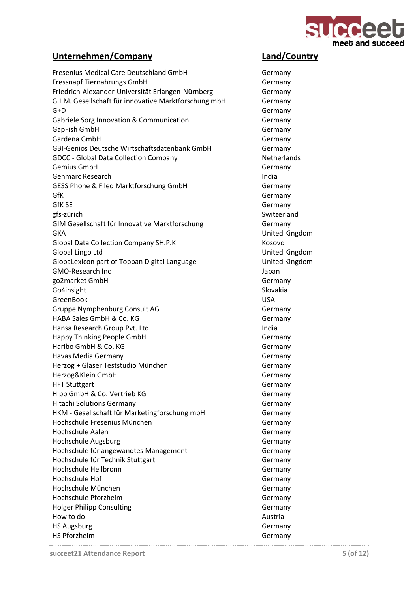

Fresenius Medical Care Deutschland GmbH Germany Fressnapf Tiernahrungs GmbH Germany Friedrich-Alexander-Universität Erlangen-Nürnberg Germany G.I.M. Gesellschaft für innovative Marktforschung mbH Germany G+D Germany Gabriele Sorg Innovation & Communication Germany GapFish GmbH Germany Gardena GmbH Germany GBI-Genios Deutsche Wirtschaftsdatenbank GmbH Germany GDCC - Global Data Collection Company Netherlands Gemius GmbH Germany Genmarc Research **India** GESS Phone & Filed Marktforschung GmbH Germany GfK Germany GfK SE Germany gfs-zürich Switzerland GIM Gesellschaft für Innovative Marktforschung Germany GKA United Kingdom Global Data Collection Company SH.P.K Kosovo Global Lingo Ltd United Kingdom GlobaLexicon part of Toppan Digital Language United Kingdom GMO-Research Inc **GMO-Research** Inc go2market GmbH Germany Go4insight Slovakia and Slovakia and Slovakia and Slovakia and Slovakia and Slovakia and Slovakia and Slovakia GreenBook USA Gruppe Nymphenburg Consult AG Germany HABA Sales GmbH & Co. KG Germany Hansa Research Group Pvt. Ltd. India Happy Thinking People GmbH Germany Haribo GmbH & Co. KG Germany Havas Media Germany **Germany** Germany Herzog + Glaser Teststudio München Germany Herzog&Klein GmbH Germany HFT Stuttgart Germany Hipp GmbH & Co. Vertrieb KG Germany Hitachi Solutions Germany Germany Germany HKM - Gesellschaft für Marketingforschung mbH Germany Hochschule Fresenius München Germany Hochschule Aalen Germany Hochschule Augsburg Germany Hochschule für angewandtes Management Germany Hochschule für Technik Stuttgart Germany Hochschule Heilbronn Germany Hochschule Hof Germany Hochschule München Germany Hochschule Pforzheim Germany Holger Philipp Consulting Germany How to do Austria HS Augsburg Germany HS Pforzheim Germany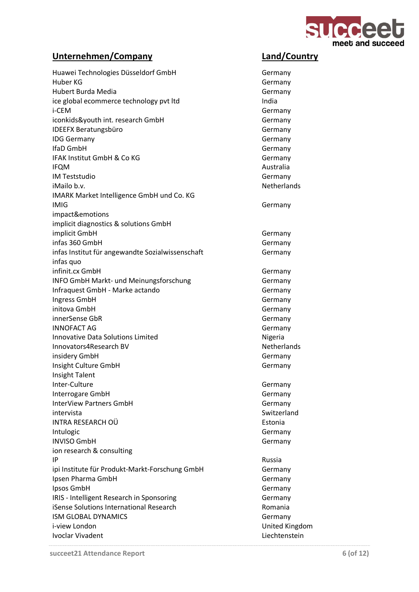

| Huawei Technologies Düsseldorf GmbH<br>Huber KG          | Germany<br>Germany   |
|----------------------------------------------------------|----------------------|
| Hubert Burda Media                                       | Germany              |
| ice global ecommerce technology pvt ltd                  | India                |
| i-CEM                                                    | Germany              |
| iconkids&youth int. research GmbH                        | Germany              |
| <b>IDEEFX Beratungsbüro</b>                              | Germany              |
| <b>IDG Germany</b>                                       |                      |
| IfaD GmbH                                                | Germany<br>Germany   |
| IFAK Institut GmbH & Co KG                               |                      |
|                                                          | Germany<br>Australia |
| <b>IFQM</b><br><b>IM Teststudio</b>                      | Germany              |
| iMailo b.v.                                              | <b>Netherlands</b>   |
|                                                          |                      |
| IMARK Market Intelligence GmbH und Co. KG<br><b>IMIG</b> |                      |
|                                                          | Germany              |
| impact&emotions                                          |                      |
| implicit diagnostics & solutions GmbH                    |                      |
| implicit GmbH                                            | Germany              |
| infas 360 GmbH                                           | Germany              |
| infas Institut für angewandte Sozialwissenschaft         | Germany              |
| infas quo                                                |                      |
| infinit.cx GmbH                                          | Germany              |
| INFO GmbH Markt- und Meinungsforschung                   | Germany              |
| Infraquest GmbH - Marke actando                          | Germany              |
| Ingress GmbH                                             | Germany              |
| initova GmbH                                             | Germany              |
| innerSense GbR                                           | Germany              |
| <b>INNOFACT AG</b>                                       | Germany              |
| <b>Innovative Data Solutions Limited</b>                 | Nigeria              |
| Innovators4Research BV                                   | <b>Netherlands</b>   |
| insidery GmbH                                            | Germany              |
| Insight Culture GmbH                                     | Germany              |
| <b>Insight Talent</b>                                    |                      |
| Inter-Culture                                            | Germany              |
| Interrogare GmbH                                         | Germany              |
| <b>InterView Partners GmbH</b>                           | Germany              |
| intervista                                               | Switzerland          |
| INTRA RESEARCH OÜ                                        | Estonia              |
| Intulogic                                                | Germany              |
| <b>INVISO GmbH</b>                                       | Germany              |
| ion research & consulting                                |                      |
| IP                                                       | Russia               |
| ipi Institute für Produkt-Markt-Forschung GmbH           | Germany              |
| Ipsen Pharma GmbH                                        | Germany              |
| Ipsos GmbH                                               | Germany              |
| IRIS - Intelligent Research in Sponsoring                | Germany              |
| iSense Solutions International Research                  | Romania              |
| <b>ISM GLOBAL DYNAMICS</b>                               | Germany              |
| i-view London                                            | United Kingdom       |
| <b>Ivoclar Vivadent</b>                                  | Liechtenstein        |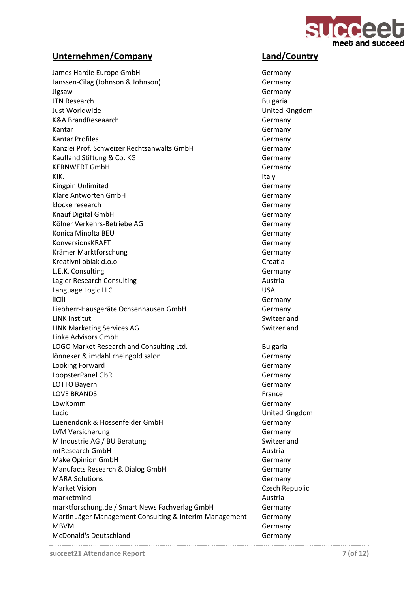

James Hardie Europe GmbH Germany Janssen-Cilag (Johnson & Johnson) Germany Jigsaw Germany JTN Research **Bulgaria** Just Worldwide **National Community Community** Christ Morldwide United Kingdom K&A BrandReseaarch Germany Kantar Germany Communication of the Communication of the Communication of the Germany Kantar Profiles Germany Kanzlei Prof. Schweizer Rechtsanwalts GmbH Germany Kaufland Stiftung & Co. KG Germany KERNWERT GmbH Germany KIK. Italy Kingpin Unlimited Germany Klare Antworten GmbH Germany klocke research Germany Communication of the Communication of the Germany Germany Knauf Digital GmbH Germany Kölner Verkehrs-Betriebe AG Germany Konica Minolta BEU Germany KonversionsKRAFT Germany Krämer Marktforschung Germany Kreativni oblak d.o.o. Croatia L.E.K. Consulting Germany Lagler Research Consulting and all the consulting Austria Language Logic LLC and the USA of the USA of the USA liCili Germany Communication and the Communication of the Communication of the Germany Germany Liebherr-Hausgeräte Ochsenhausen GmbH Germany LINK Institut Switzerland LINK Marketing Services AG Switzerland Linke Advisors GmbH LOGO Market Research and Consulting Ltd. **Bulgaria** Bulgaria lönneker & imdahl rheingold salon Germany Looking Forward **Germany** Germany LoopsterPanel GbR Germany LOTTO Bayern Germany LOVE BRANDS France LöwKomm Germany Lucid United Kingdom Luenendonk & Hossenfelder GmbH Germany LVM Versicherung Germany M Industrie AG / BU Beratung Switzerland m(Research GmbH austrial) and the control of the control of the control of the control of the control of the control of the control of the control of the control of the control of the control of the control of the control Make Opinion GmbH Germany Manufacts Research & Dialog GmbH Germany MARA Solutions **Germany** Market Vision **Czech Republic** marketmind Austria marktforschung.de / Smart News Fachverlag GmbH Germany Martin Jäger Management Consulting & Interim Management Germany MBVM Germany McDonald's Deutschland Germany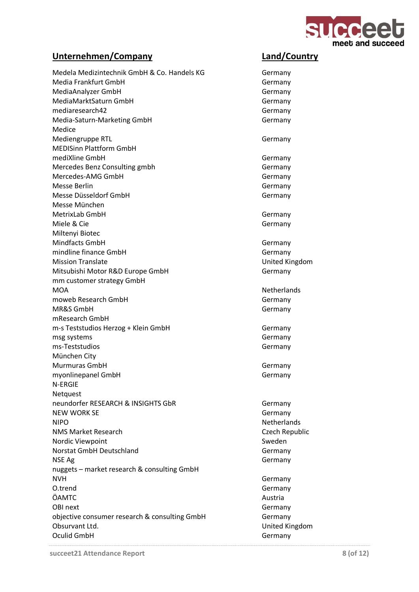

Medela Medizintechnik GmbH & Co. Handels KG Germany Media Frankfurt GmbH Germany MediaAnalyzer GmbH Germany MediaMarktSaturn GmbH Germany mediaresearch42 Germany Media-Saturn-Marketing GmbH Germany Medice Mediengruppe RTL Germany MEDISinn Plattform GmbH mediXline GmbH Germany Mercedes Benz Consulting gmbh Germany Mercedes-AMG GmbH Germany Messe Berlin Germany Messe Düsseldorf GmbH Germany Messe München MetrixLab GmbH Germany Miele & Cie Germany Miltenyi Biotec Mindfacts GmbH Germany mindline finance GmbH Germany Mission Translate **Mission Translate United Kingdom** Mitsubishi Motor R&D Europe GmbH Germany mm customer strategy GmbH MOA Netherlands moweb Research GmbH Germany MR&S GmbH Germany mResearch GmbH m-s Teststudios Herzog + Klein GmbH Germany msg systems Germany ms-Teststudios and the contract of the contract of the Germany München City Murmuras GmbH Germany myonlinepanel GmbH Germany N-ERGIE **Netquest** neundorfer RESEARCH & INSIGHTS GbR<br>
Germany NEW WORK SE Germany NIPO Netherlands NMS Market Research Czech Republic Nordic Viewpoint and Sweden Sweden Sweden Sweden Sweden Sweden Sweden Sweden Sweden Sweden Sweden Sweden Sweden Norstat GmbH Deutschland Germany NSE Ag Germany Communication of the Communication of the Communication of the Germany nuggets – market research & consulting GmbH NVH Germany O.trend Germany ÖAMTC Austria OBI next Germany objective consumer research & consulting GmbH Germany Obsurvant Ltd. **United Kingdom** Oculid GmbH Germany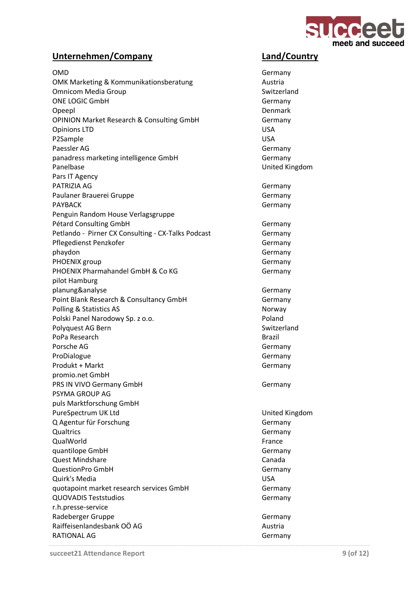

| <b>OMD</b>                                           | Germany          |
|------------------------------------------------------|------------------|
| <b>OMK Marketing &amp; Kommunikationsberatung</b>    | Austria          |
| <b>Omnicom Media Group</b>                           | Switzerla        |
| <b>ONE LOGIC GmbH</b>                                | Germany          |
| Opeepl                                               | Denmark          |
| <b>OPINION Market Research &amp; Consulting GmbH</b> | Germany          |
| <b>Opinions LTD</b>                                  | <b>USA</b>       |
| P2Sample                                             | <b>USA</b>       |
| Paessler AG                                          | Germany          |
| panadress marketing intelligence GmbH                | Germany          |
| Panelbase                                            | <b>United Ki</b> |
| Pars IT Agency                                       |                  |
| PATRIZIA AG                                          | Germany          |
| Paulaner Brauerei Gruppe                             | Germany          |
| <b>PAYBACK</b>                                       | Germany          |
| Penguin Random House Verlagsgruppe                   |                  |
| Pétard Consulting GmbH                               | Germany          |
| Petlando - Pirner CX Consulting - CX-Talks Podcast   | Germany          |
| Pflegedienst Penzkofer                               | Germany          |
| phaydon                                              | Germany          |
| PHOENIX group                                        | Germany          |
| PHOENIX Pharmahandel GmbH & Co KG                    | Germany          |
| pilot Hamburg                                        |                  |
| planung&analyse                                      | Germany          |
| Point Blank Research & Consultancy GmbH              | Germany          |
| Polling & Statistics AS                              | Norway           |
| Polski Panel Narodowy Sp. z o.o.                     | Poland           |
| Polyquest AG Bern                                    | Switzerla        |
| PoPa Research                                        | Brazil           |
| Porsche AG                                           | Germany          |
| ProDialogue                                          | Germany          |
| Produkt + Markt                                      | Germany          |
| promio.net GmbH                                      |                  |
| PRS IN VIVO Germany GmbH                             | Germany          |
| PSYMA GROUP AG                                       |                  |
| puls Marktforschung GmbH                             |                  |
| PureSpectrum UK Ltd                                  | United Ki        |
| Q Agentur für Forschung                              | Germany          |
| Qualtrics                                            | Germany          |
| QualWorld                                            | France           |
| quantilope GmbH                                      | Germany          |
| <b>Quest Mindshare</b>                               | Canada           |
| <b>QuestionPro GmbH</b>                              | Germany          |
| Quirk's Media                                        | <b>USA</b>       |
| quotapoint market research services GmbH             | Germany          |
| <b>QUOVADIS Teststudios</b>                          | Germany          |
| r.h.presse-service                                   |                  |
| Radeberger Gruppe<br>Raiffeisenlandesbank OÖ AG      | Germany          |
| RATIONAL AG                                          | Austria          |
|                                                      | Germany          |

Germany Switzerland **Germany** Denmark **Germany Germany United Kingdom** Germany **Germany** Germany **Germany** Germany **Germany** Germany **Germany Germany** Germany Germany Switzerland Germany Germany Germany **Germany** United Kingdom Germany Germany Germany Germany Germany Germany Germany Germany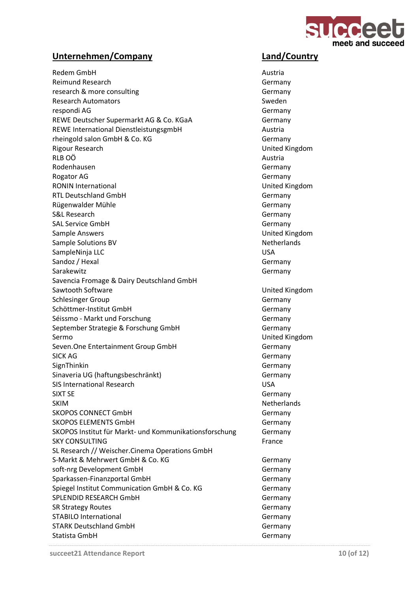

Redem GmbH **Austria** Reimund Research Germany research & more consulting example of the consulting of the Germany Research Automators and Sweden Sweden Sweden respondi AG Germany REWE Deutscher Supermarkt AG & Co. KGaA Germany REWE International DienstleistungsgmbH<br>
Austria rheingold salon GmbH & Co. KG Germany Rigour Research United Kingdom  $R$ LB OÖ $\sim$ Rodenhausen and Germany Germany (Germany Germany Germany Germany Germany Germany Germany Germany Germany Germany Rogator AG Germany RONIN International **No. 2018** CONIN International CONIN United Kingdom RTL Deutschland GmbH Germany Rügenwalder Mühle Germany S&L Research Germany SAL Service GmbH Germany Sample Answers **Example Answers Example Answers** Sample Solutions BV Netherlands SampleNinja LLC USA Sandoz / Hexal Germany Sarakewitz **Germany** Savencia Fromage & Dairy Deutschland GmbH Sawtooth Software **Victor** Community Controllering Controllering United Kingdom Schlesinger Group Germany Schöttmer-Institut GmbH Germany Séissmo - Markt und Forschung Germany September Strategie & Forschung GmbH Germany Sermo United Kingdom Seven.One Entertainment Group GmbH Germany SICK AG Germany SignThinkin Germany Sinaveria UG (haftungsbeschränkt) Germany SIS International Research USA SIXT SE Germany SKIM Netherlands SKOPOS CONNECT GmbH Germany SKOPOS ELEMENTS GmbH Germany SKOPOS Institut für Markt- und Kommunikationsforschung Germany SKY CONSULTING France SL Research // Weischer.Cinema Operations GmbH S-Markt & Mehrwert GmbH & Co. KG Germany soft-nrg Development GmbH Germany Sparkassen-Finanzportal GmbH Germany Spiegel Institut Communication GmbH & Co. KG Germany SPLENDID RESEARCH GmbH Germany SR Strategy Routes Germany STABILO International and the control of the control of the Germany STARK Deutschland GmbH Germany Statista GmbH Germany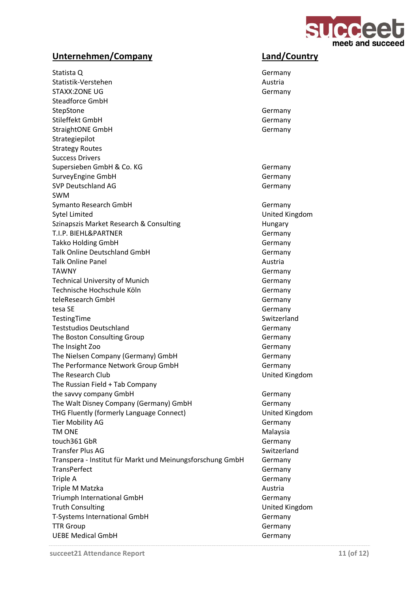

Statista Q Germany Statistik-Verstehen Austria STAXX:ZONE UG Germany Steadforce GmbH StepStone Germany Stileffekt GmbH Germany StraightONE GmbH Germany Strategiepilot Strategy Routes Success Drivers Supersieben GmbH & Co. KG Germany SurveyEngine GmbH Germany SVP Deutschland AG Germany SWM Symanto Research GmbH Germany Germany Sytel Limited **Example 2018** Sytel Limited Kingdom Szinapszis Market Research & Consulting Theorem Hungary T.I.P. BIEHL&PARTNER Germany Takko Holding GmbH Germany Talk Online Deutschland GmbH Germany Talk Online Panel **Austria** Austria TAWNY Germany Technical University of Munich Germany Technische Hochschule Köln Germany teleResearch GmbH Germany tesa SE Germany TestingTime Switzerland Teststudios Deutschland Germany The Boston Consulting Group Germany The Insight Zoo Germany The Nielsen Company (Germany) GmbH Germany Germany The Performance Network Group GmbH Germany The Research Club United Kingdom The Russian Field + Tab Company the savvy company GmbH Germany The Walt Disney Company (Germany) GmbH Germany THG Fluently (formerly Language Connect) United Kingdom Tier Mobility AG Germany TM ONE Annual Communication of the Malaysia touch361 GbR Germany Transfer Plus AG New York 1999 Switzerland Transpera - Institut für Markt und Meinungsforschung GmbH Germany TransPerfect Germany Triple A Germany Triple M Matzka Austria Triumph International GmbH Germany Truth Consulting Truth Consulting Consulting Consulting Consulting Consulting Consulting Consulting Consulting Consulting Consulting Consulting Consulting Consulting Consulting Consulting Consulting Consulting Consulting C T-Systems International GmbH Germany TTR Group Germany UEBE Medical GmbH Germany